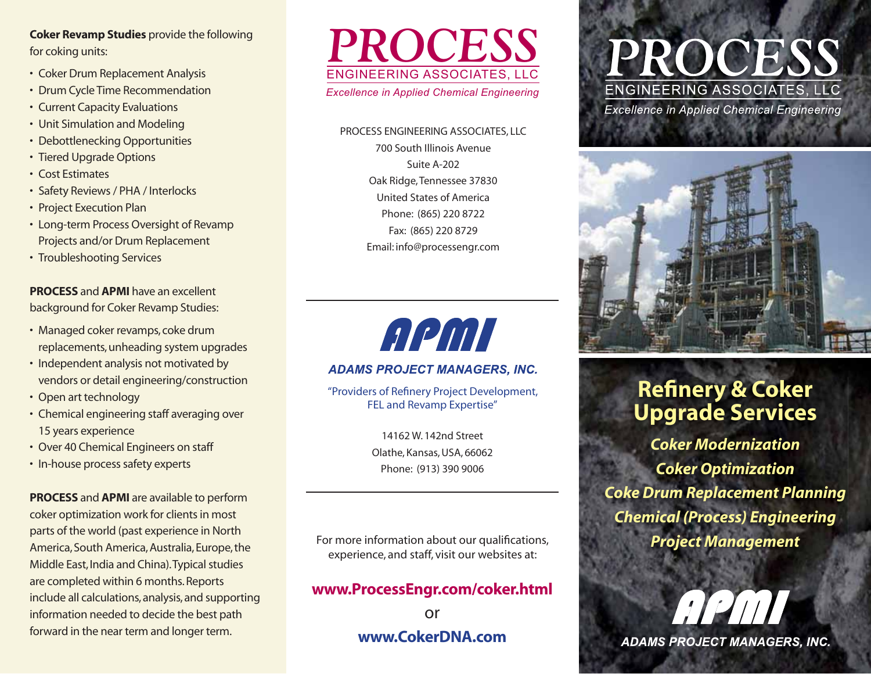**Coker Revamp Studies** provide the following for coking units:

- Coker Drum Replacement Analysis
- Drum Cycle Time Recommendation
- Current Capacity Evaluations
- Unit Simulation and Modeling
- Debottlenecking Opportunities
- Tiered Upgrade Options
- Cost Estimates
- · Safety Reviews / PHA / Interlocks
- Project Execution Plan
- Long-term Process Oversight of Revamp Projects and/or Drum Replacement
- Troubleshooting Services

**PROCESS** and **APMI** have an excellent background for Coker Revamp Studies:

- · Managed coker revamps, coke drum replacements, unheading system upgrades
- · Independent analysis not motivated by vendors or detail engineering/construction
- Open art technology
- Chemical engineering staff averaging over 15 years experience
- Over 40 Chemical Engineers on staff
- In-house process safety experts

**PROCESS** and **APMI** are available to perform coker optimization work for clients in most parts of the world (past experience in North America, South America, Australia, Europe, the Middle East, India and China). Typical studies are completed within 6 months. Reports include all calculations, analysis, and supporting information needed to decide the best path forward in the near term and longer term.



PROCESS ENGINEERING ASSOCIATES, LLC 700 South Illinois Avenue Suite A-202 Oak Ridge, Tennessee 37830 United States of America Phone: (865) 220 8722 Fax: (865) 220 8729 Email: info@processengr.com



#### **ADAMS PROJECT MANAGERS, INC.**

"Providers of Refinery Project Development, FEL and Revamp Expertise"

> 14162 W. 142nd Street Olathe, Kansas, USA, 66062 Phone: (913) 390 9006

For more information about our qualifications, experience, and staff, visit our websites at:

#### www.ProcessEngr.com/coker.html

or www.CokerDNA.com

# PROCES. ENGINEERING ASSOCIATES, LLC **Excellence in Applied Chemical Engineering**



## **Refinery & Coker Upgrade Services**

**Coker Modernization Coker Optimization Coke Drum Replacement Planning Chemical (Process) Engineering Project Management** 



**ADAMS PROJECT MANAGERS, INC.**